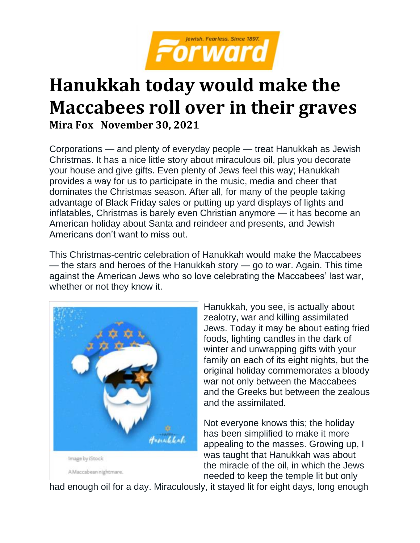

## **Hanukkah today would make the Maccabees roll over in their graves Mira Fox November 30, 2021**

Corporations — and plenty of everyday people — treat Hanukkah as Jewish Christmas. It has a nice little story about miraculous oil, plus you decorate your house and give gifts. Even plenty of Jews feel this way; Hanukkah provides a way for us to participate in the music, media and cheer that dominates the Christmas season. After all, for many of the people taking advantage of Black Friday sales or putting up yard displays of lights and inflatables, Christmas is barely even Christian anymore — it has become an American holiday about Santa and reindeer and presents, and Jewish Americans don't want to miss out.

This Christmas-centric celebration of Hanukkah would make the Maccabees — the stars and heroes of the Hanukkah story — go to war. Again. This time against the American Jews who so love celebrating the Maccabees' last war, whether or not they know it.



Hanukkah, you see, is actually about zealotry, war and killing assimilated Jews. Today it may be about eating fried foods, lighting candles in the dark of winter and unwrapping gifts with your family on each of its eight nights, but the original holiday commemorates a bloody war not only between the Maccabees and the Greeks but between the zealous and the assimilated.

Not everyone knows this; the holiday has been simplified to make it more appealing to the masses. Growing up, I was taught that Hanukkah was about the miracle of the oil, in which the Jews needed to keep the temple lit but only

had enough oil for a day. Miraculously, it stayed lit for eight days, long enough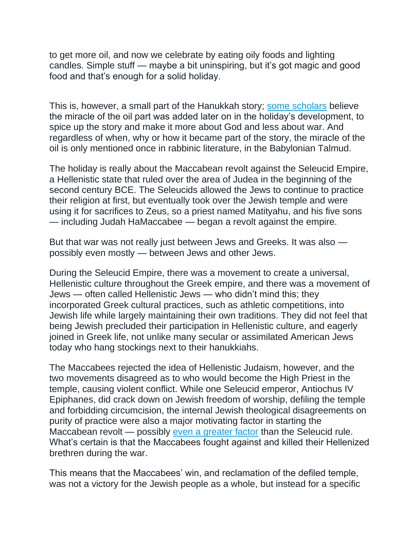to get more oil, and now we celebrate by eating oily foods and lighting candles. Simple stuff — maybe a bit uninspiring, but it's got magic and good food and that's enough for a solid holiday.

This is, however, a small part of the Hanukkah story; [some scholars](https://thegemara.com/article/the-development-of-the-chanukah-oil-miracle-in-context-of-zoroastrian-fire-veneration/) believe the miracle of the oil part was added later on in the holiday's development, to spice up the story and make it more about God and less about war. And regardless of when, why or how it became part of the story, the miracle of the oil is only mentioned once in rabbinic literature, in the Babylonian Talmud.

The holiday is really about the Maccabean revolt against the Seleucid Empire, a Hellenistic state that ruled over the area of Judea in the beginning of the second century BCE. The Seleucids allowed the Jews to continue to practice their religion at first, but eventually took over the Jewish temple and were using it for sacrifices to Zeus, so a priest named Matityahu, and his five sons — including Judah HaMaccabee — began a revolt against the empire.

But that war was not really just between Jews and Greeks. It was also possibly even mostly — between Jews and other Jews.

During the Seleucid Empire, there was a movement to create a universal, Hellenistic culture throughout the Greek empire, and there was a movement of Jews — often called Hellenistic Jews — who didn't mind this; they incorporated Greek cultural practices, such as athletic competitions, into Jewish life while largely maintaining their own traditions. They did not feel that being Jewish precluded their participation in Hellenistic culture, and eagerly joined in Greek life, not unlike many secular or assimilated American Jews today who hang stockings next to their hanukkiahs.

The Maccabees rejected the idea of Hellenistic Judaism, however, and the two movements disagreed as to who would become the High Priest in the temple, causing violent conflict. While one Seleucid emperor, Antiochus IV Epiphanes, did crack down on Jewish freedom of worship, defiling the temple and forbidding circumcision, the internal Jewish theological disagreements on purity of practice were also a major motivating factor in starting the Maccabean revolt — possibly [even a greater factor](https://en.wikipedia.org/wiki/Hasmonean_dynasty#cite_note-36) than the Seleucid rule. What's certain is that the Maccabees fought against and killed their Hellenized brethren during the war.

This means that the Maccabees' win, and reclamation of the defiled temple, was not a victory for the Jewish people as a whole, but instead for a specific